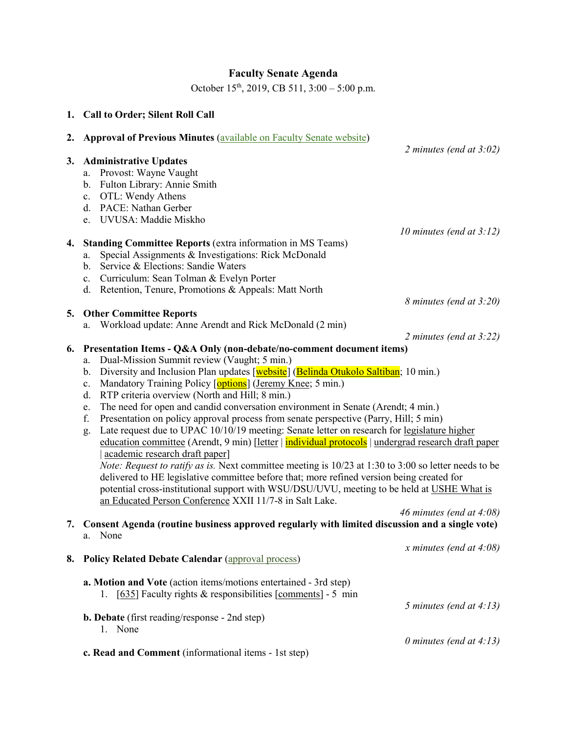# **Faculty Senate Agenda**

October 15<sup>th</sup>, 2019, CB 511, 3:00 – 5:00 p.m.

|    | 1. Call to Order; Silent Roll Call                                                                                                                                                                                                                                                                                                                                                                                                                                                                                                                                                                                                                                                                                                                                                                                                                                                                                                                                                                                                                                                                                                                                                        |
|----|-------------------------------------------------------------------------------------------------------------------------------------------------------------------------------------------------------------------------------------------------------------------------------------------------------------------------------------------------------------------------------------------------------------------------------------------------------------------------------------------------------------------------------------------------------------------------------------------------------------------------------------------------------------------------------------------------------------------------------------------------------------------------------------------------------------------------------------------------------------------------------------------------------------------------------------------------------------------------------------------------------------------------------------------------------------------------------------------------------------------------------------------------------------------------------------------|
| 2. | <b>Approval of Previous Minutes (available on Faculty Senate website)</b><br>2 minutes (end at $3:02$ )                                                                                                                                                                                                                                                                                                                                                                                                                                                                                                                                                                                                                                                                                                                                                                                                                                                                                                                                                                                                                                                                                   |
| 3. | <b>Administrative Updates</b><br>Provost: Wayne Vaught<br>a.<br>Fulton Library: Annie Smith<br>b.<br>OTL: Wendy Athens<br>c.<br>d. PACE: Nathan Gerber<br>e. UVUSA: Maddie Miskho<br>10 minutes (end at $3:12$ )                                                                                                                                                                                                                                                                                                                                                                                                                                                                                                                                                                                                                                                                                                                                                                                                                                                                                                                                                                          |
| 4. | <b>Standing Committee Reports (extra information in MS Teams)</b><br>Special Assignments & Investigations: Rick McDonald<br>a.<br>Service & Elections: Sandie Waters<br>$\mathbf{b}$ .<br>Curriculum: Sean Tolman & Evelyn Porter<br>c.<br>d. Retention, Tenure, Promotions & Appeals: Matt North                                                                                                                                                                                                                                                                                                                                                                                                                                                                                                                                                                                                                                                                                                                                                                                                                                                                                         |
|    | 8 minutes (end at 3:20)<br>5. Other Committee Reports                                                                                                                                                                                                                                                                                                                                                                                                                                                                                                                                                                                                                                                                                                                                                                                                                                                                                                                                                                                                                                                                                                                                     |
|    | Workload update: Anne Arendt and Rick McDonald (2 min)<br>a.<br>2 minutes (end at $3:22$ )                                                                                                                                                                                                                                                                                                                                                                                                                                                                                                                                                                                                                                                                                                                                                                                                                                                                                                                                                                                                                                                                                                |
| 6. | Presentation Items - Q&A Only (non-debate/no-comment document items)<br>Dual-Mission Summit review (Vaught; 5 min.)<br>a.<br>Diversity and Inclusion Plan updates [website] (Belinda Otukolo Saltiban; 10 min.)<br>b.<br>Mandatory Training Policy [options] (Jeremy Knee; 5 min.)<br>c.<br>RTP criteria overview (North and Hill; 8 min.)<br>d.<br>The need for open and candid conversation environment in Senate (Arendt; 4 min.)<br>e.<br>Presentation on policy approval process from senate perspective (Parry, Hill; 5 min)<br>f.<br>Late request due to UPAC 10/10/19 meeting: Senate letter on research for legislature higher<br>g.<br>education committee (Arendt, 9 min) [letter   individual protocols   undergrad research draft paper<br>academic research draft paper]<br><i>Note: Request to ratify as is.</i> Next committee meeting is $10/23$ at 1:30 to 3:00 so letter needs to be<br>delivered to HE legislative committee before that; more refined version being created for<br>potential cross-institutional support with WSU/DSU/UVU, meeting to be held at USHE What is<br>an Educated Person Conference XXII 11/7-8 in Salt Lake.<br>46 minutes (end at 4:08) |
|    | 7. Consent Agenda (routine business approved regularly with limited discussion and a single vote)<br>a. None                                                                                                                                                                                                                                                                                                                                                                                                                                                                                                                                                                                                                                                                                                                                                                                                                                                                                                                                                                                                                                                                              |
| 8. | x minutes (end at $4:08$ )<br><b>Policy Related Debate Calendar (approval process)</b>                                                                                                                                                                                                                                                                                                                                                                                                                                                                                                                                                                                                                                                                                                                                                                                                                                                                                                                                                                                                                                                                                                    |
|    | a. Motion and Vote (action items/motions entertained - 3rd step)<br>1. [635] Faculty rights & responsibilities [comments] - 5 min<br>5 minutes (end at $4:13$ )<br><b>b. Debate</b> (first reading/response - 2nd step)<br>1. None<br>0 minutes (end at $4:13$ )                                                                                                                                                                                                                                                                                                                                                                                                                                                                                                                                                                                                                                                                                                                                                                                                                                                                                                                          |
|    | c. Read and Comment (informational items - 1st step)                                                                                                                                                                                                                                                                                                                                                                                                                                                                                                                                                                                                                                                                                                                                                                                                                                                                                                                                                                                                                                                                                                                                      |